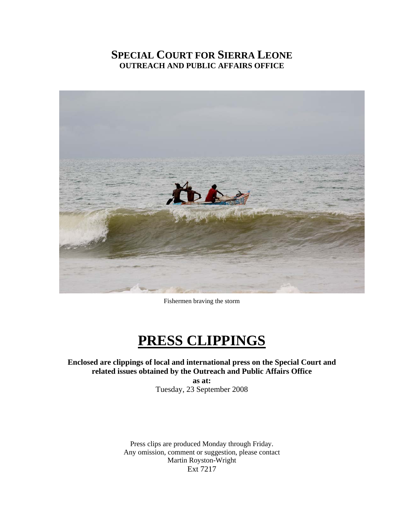## **SPECIAL COURT FOR SIERRA LEONE OUTREACH AND PUBLIC AFFAIRS OFFICE**



Fishermen braving the storm

# **PRESS CLIPPINGS**

**Enclosed are clippings of local and international press on the Special Court and related issues obtained by the Outreach and Public Affairs Office** 

**as at:**  Tuesday, 23 September 2008

Press clips are produced Monday through Friday. Any omission, comment or suggestion, please contact Martin Royston-Wright Ext 7217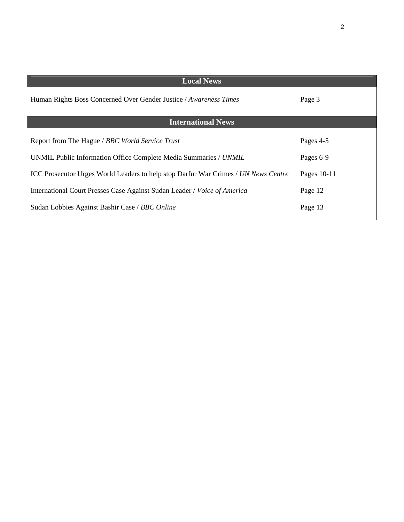| <b>Local News</b>                                                                  |             |
|------------------------------------------------------------------------------------|-------------|
| Human Rights Boss Concerned Over Gender Justice / Awareness Times                  | Page 3      |
| <b>International News</b>                                                          |             |
| Report from The Hague / BBC World Service Trust                                    | Pages 4-5   |
| UNMIL Public Information Office Complete Media Summaries / UNMIL                   | Pages 6-9   |
| ICC Prosecutor Urges World Leaders to help stop Darfur War Crimes / UN News Centre | Pages 10-11 |
| International Court Presses Case Against Sudan Leader / Voice of America           | Page 12     |
| Sudan Lobbies Against Bashir Case / BBC Online                                     | Page 13     |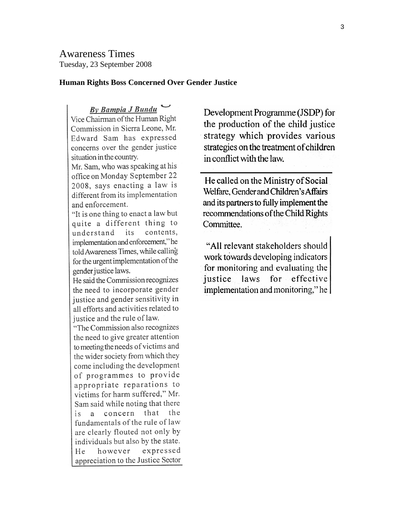Awareness Times Tuesday, 23 September 2008

#### **Human Rights Boss Concerned Over Gender Justice**

By Bampia J Bundu Vice Chairman of the Human Right Commission in Sierra Leone, Mr. Edward Sam has expressed concerns over the gender justice situation in the country.

Mr. Sam, who was speaking at his office on Monday September 22 2008. says enacting a law is different from its implementation and enforcement.

"It is one thing to enact a law but quite a different thing to understand its contents, implementation and enforcement," he told Awareness Times, while calling for the urgent implementation of the gender justice laws.

He said the Commission recognizes the need to incorporate gender justice and gender sensitivity in all efforts and activities related to justice and the rule of law.

"The Commission also recognizes the need to give greater attention to meeting the needs of victims and the wider society from which they come including the development of programmes to provide appropriate reparations to victims for harm suffered," Mr. Sam said while noting that there is a concern that the fundamentals of the rule of law are clearly flouted not only by individuals but also by the state. expressed He however appreciation to the Justice Sector

Development Programme (JSDP) for the production of the child justice strategy which provides various strategies on the treatment of children in conflict with the law.

He called on the Ministry of Social Welfare, Gender and Children's Affairs and its partners to fully implement the recommendations of the Child Rights Committee.

"All relevant stakeholders should work towards developing indicators for monitoring and evaluating the effective laws for justice implementation and monitoring," he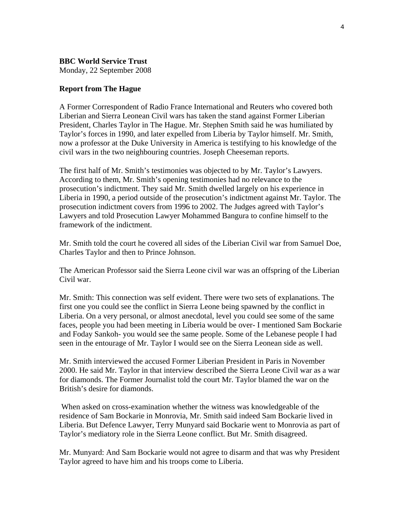**BBC World Service Trust** Monday, 22 September 2008

#### **Report from The Hague**

A Former Correspondent of Radio France International and Reuters who covered both Liberian and Sierra Leonean Civil wars has taken the stand against Former Liberian President, Charles Taylor in The Hague. Mr. Stephen Smith said he was humiliated by Taylor's forces in 1990, and later expelled from Liberia by Taylor himself. Mr. Smith, now a professor at the Duke University in America is testifying to his knowledge of the civil wars in the two neighbouring countries. Joseph Cheeseman reports.

The first half of Mr. Smith's testimonies was objected to by Mr. Taylor's Lawyers. According to them, Mr. Smith's opening testimonies had no relevance to the prosecution's indictment. They said Mr. Smith dwelled largely on his experience in Liberia in 1990, a period outside of the prosecution's indictment against Mr. Taylor. The prosecution indictment covers from 1996 to 2002. The Judges agreed with Taylor's Lawyers and told Prosecution Lawyer Mohammed Bangura to confine himself to the framework of the indictment.

Mr. Smith told the court he covered all sides of the Liberian Civil war from Samuel Doe, Charles Taylor and then to Prince Johnson.

The American Professor said the Sierra Leone civil war was an offspring of the Liberian Civil war.

Mr. Smith: This connection was self evident. There were two sets of explanations. The first one you could see the conflict in Sierra Leone being spawned by the conflict in Liberia. On a very personal, or almost anecdotal, level you could see some of the same faces, people you had been meeting in Liberia would be over- I mentioned Sam Bockarie and Foday Sankoh- you would see the same people. Some of the Lebanese people I had seen in the entourage of Mr. Taylor I would see on the Sierra Leonean side as well.

Mr. Smith interviewed the accused Former Liberian President in Paris in November 2000. He said Mr. Taylor in that interview described the Sierra Leone Civil war as a war for diamonds. The Former Journalist told the court Mr. Taylor blamed the war on the British's desire for diamonds.

 When asked on cross-examination whether the witness was knowledgeable of the residence of Sam Bockarie in Monrovia, Mr. Smith said indeed Sam Bockarie lived in Liberia. But Defence Lawyer, Terry Munyard said Bockarie went to Monrovia as part of Taylor's mediatory role in the Sierra Leone conflict. But Mr. Smith disagreed.

Mr. Munyard: And Sam Bockarie would not agree to disarm and that was why President Taylor agreed to have him and his troops come to Liberia.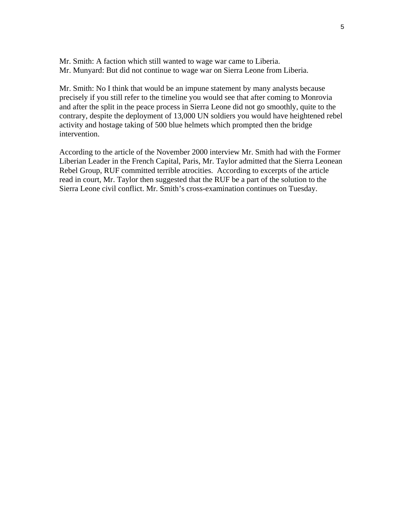Mr. Smith: A faction which still wanted to wage war came to Liberia. Mr. Munyard: But did not continue to wage war on Sierra Leone from Liberia.

Mr. Smith: No I think that would be an impune statement by many analysts because precisely if you still refer to the timeline you would see that after coming to Monrovia and after the split in the peace process in Sierra Leone did not go smoothly, quite to the contrary, despite the deployment of 13,000 UN soldiers you would have heightened rebel activity and hostage taking of 500 blue helmets which prompted then the bridge intervention.

According to the article of the November 2000 interview Mr. Smith had with the Former Liberian Leader in the French Capital, Paris, Mr. Taylor admitted that the Sierra Leonean Rebel Group, RUF committed terrible atrocities. According to excerpts of the article read in court, Mr. Taylor then suggested that the RUF be a part of the solution to the Sierra Leone civil conflict. Mr. Smith's cross-examination continues on Tuesday.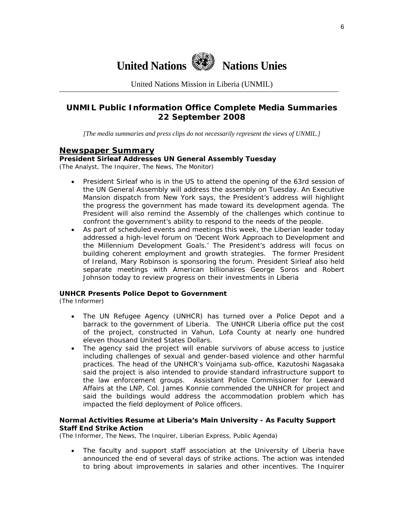

United Nations Mission in Liberia (UNMIL)

### **UNMIL Public Information Office Complete Media Summaries 22 September 2008**

*[The media summaries and press clips do not necessarily represent the views of UNMIL.]* 

#### **Newspaper Summary**

## **President Sirleaf Addresses UN General Assembly Tuesday**

(The Analyst, The Inquirer, The News, The Monitor)

- President Sirleaf who is in the US to attend the opening of the 63rd session of the UN General Assembly will address the assembly on Tuesday. An Executive Mansion dispatch from New York says, the President's address will highlight the progress the government has made toward its development agenda. The President will also remind the Assembly of the challenges which continue to confront the government's ability to respond to the needs of the people.
- As part of scheduled events and meetings this week, the Liberian leader today addressed a high-level forum on 'Decent Work Approach to Development and the Millennium Development Goals.' The President's address will focus on building coherent employment and growth strategies. The former President of Ireland, Mary Robinson is sponsoring the forum. President Sirleaf also held separate meetings with American billionaires George Soros and Robert Johnson today to review progress on their investments in Liberia

#### **UNHCR Presents Police Depot to Government**

(The Informer)

- The UN Refugee Agency (UNHCR) has turned over a Police Depot and a barrack to the government of Liberia. The UNHCR Liberia office put the cost of the project, constructed in Vahun, Lofa County at nearly one hundred eleven thousand United States Dollars.
- The agency said the project will enable survivors of abuse access to justice including challenges of sexual and gender-based violence and other harmful practices. The head of the UNHCR's Voinjama sub-office, Kazutoshi Nagasaka said the project is also intended to provide standard infrastructure support to the law enforcement groups. Assistant Police Commissioner for Leeward Affairs at the LNP, Col. James Konnie commended the UNHCR for project and said the buildings would address the accommodation problem which has impacted the field deployment of Police officers.

#### **Normal Activities Resume at Liberia's Main University - As Faculty Support Staff End Strike Action**

(The Informer, The News, The Inquirer, Liberian Express, Public Agenda)

• The faculty and support staff association at the University of Liberia have announced the end of several days of strike actions. The action was intended to bring about improvements in salaries and other incentives. The Inquirer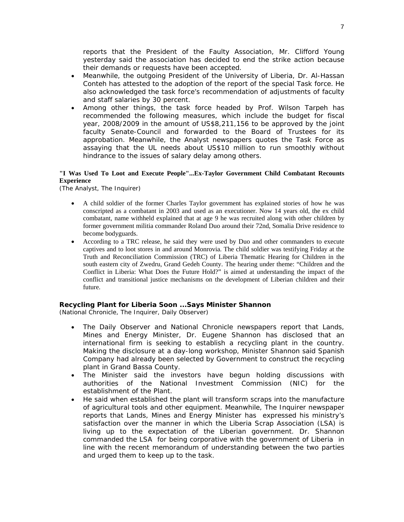reports that the President of the Faulty Association, Mr. Clifford Young yesterday said the association has decided to end the strike action because their demands or requests have been accepted.

- Meanwhile, the outgoing President of the University of Liberia, Dr. Al-Hassan Conteh has attested to the adoption of the report of the special Task force. He also acknowledged the task force's recommendation of adjustments of faculty and staff salaries by 30 percent.
- Among other things, the task force headed by Prof. Wilson Tarpeh has recommended the following measures, which include the budget for fiscal year, 2008/2009 in the amount of US\$8,211,156 to be approved by the joint faculty Senate-Council and forwarded to the Board of Trustees for its approbation. Meanwhile, the Analyst newspapers quotes the Task Force as assaying that the UL needs about US\$10 million to run smoothly without hindrance to the issues of salary delay among others.

#### **"I Was Used To Loot and Execute People"...Ex-Taylor Government Child Combatant Recounts Experience**

(The Analyst, The Inquirer)

- A child soldier of the former Charles Taylor government has explained stories of how he was conscripted as a combatant in 2003 and used as an executioner. Now 14 years old, the ex child combatant, name withheld explained that at age 9 he was recruited along with other children by former government militia commander Roland Duo around their 72nd, Somalia Drive residence to become bodyguards.
- According to a TRC release, he said they were used by Duo and other commanders to execute captives and to loot stores in and around Monrovia. The child soldier was testifying Friday at the Truth and Reconciliation Commission (TRC) of Liberia Thematic Hearing for Children in the south eastern city of Zwedru, Grand Gedeh County. The hearing under theme: "Children and the Conflict in Liberia: What Does the Future Hold?" is aimed at understanding the impact of the conflict and transitional justice mechanisms on the development of Liberian children and their future.

#### **Recycling Plant for Liberia Soon ...Says Minister Shannon**

(National Chronicle, The Inquirer, Daily Observer)

- The Daily Observer and National Chronicle newspapers report that Lands, Mines and Energy Minister, Dr. Eugene Shannon has disclosed that an international firm is seeking to establish a recycling plant in the country. Making the disclosure at a day-long workshop, Minister Shannon said Spanish Company had already been selected by Government to construct the recycling plant in Grand Bassa County.
- The Minister said the investors have begun holding discussions with authorities of the National Investment Commission (NIC) for the establishment of the Plant.
- He said when established the plant will transform scraps into the manufacture of agricultural tools and other equipment. Meanwhile, The Inquirer newspaper reports that Lands, Mines and Energy Minister has expressed his ministry's satisfaction over the manner in which the Liberia Scrap Association (LSA) is living up to the expectation of the Liberian government. Dr. Shannon commanded the LSA for being corporative with the government of Liberia in line with the recent memorandum of understanding between the two parties and urged them to keep up to the task.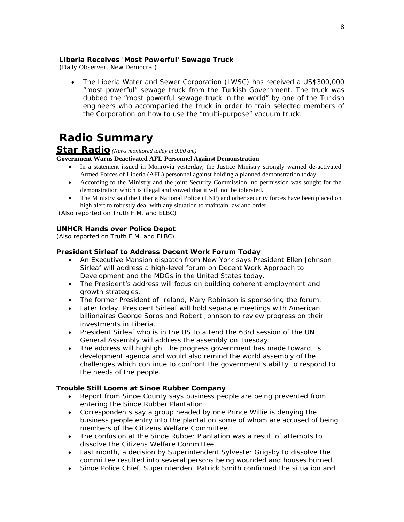#### **Liberia Receives 'Most Powerful' Sewage Truck**

(Daily Observer, New Democrat)

• The Liberia Water and Sewer Corporation (LWSC) has received a US\$300,000 "most powerful" sewage truck from the Turkish Government. The truck was dubbed the "most powerful sewage truck in the world" by one of the Turkish engineers who accompanied the truck in order to train selected members of the Corporation on how to use the "multi-purpose" vacuum truck.

## **Radio Summary**

#### **Star Radio** *(News monitored today at 9:00 am)*

#### **Government Warns Deactivated AFL Personnel Against Demonstration**

- In a statement issued in Monrovia yesterday, the Justice Ministry strongly warned de-activated Armed Forces of Liberia (AFL) personnel against holding a planned demonstration today.
- According to the Ministry and the joint Security Commission, no permission was sought for the demonstration which is illegal and vowed that it will not be tolerated.
- The Ministry said the Liberia National Police (LNP) and other security forces have been placed on high alert to robustly deal with any situation to maintain law and order.

 *(Also reported on Truth F.M. and ELBC)* 

#### **UNHCR Hands over Police Depot**

*(Also reported on Truth F.M. and ELBC)*

#### **President Sirleaf to Address Decent Work Forum Today**

- An Executive Mansion dispatch from New York says President Ellen Johnson Sirleaf will address a high-level forum on Decent Work Approach to Development and the MDGs in the United States today.
- The President's address will focus on building coherent employment and growth strategies.
- The former President of Ireland, Mary Robinson is sponsoring the forum.
- Later today, President Sirleaf will hold separate meetings with American billionaires George Soros and Robert Johnson to review progress on their investments in Liberia.
- President Sirleaf who is in the US to attend the 63rd session of the UN General Assembly will address the assembly on Tuesday.
- The address will highlight the progress government has made toward its development agenda and would also remind the world assembly of the challenges which continue to confront the government's ability to respond to the needs of the people.

#### **Trouble Still Looms at Sinoe Rubber Company**

- Report from Sinoe County says business people are being prevented from entering the Sinoe Rubber Plantation
- Correspondents say a group headed by one Prince Willie is denying the business people entry into the plantation some of whom are accused of being members of the Citizens Welfare Committee.
- The confusion at the Sinoe Rubber Plantation was a result of attempts to dissolve the Citizens Welfare Committee.
- Last month, a decision by Superintendent Sylvester Grigsby to dissolve the committee resulted into several persons being wounded and houses burned.
- Sinoe Police Chief, Superintendent Patrick Smith confirmed the situation and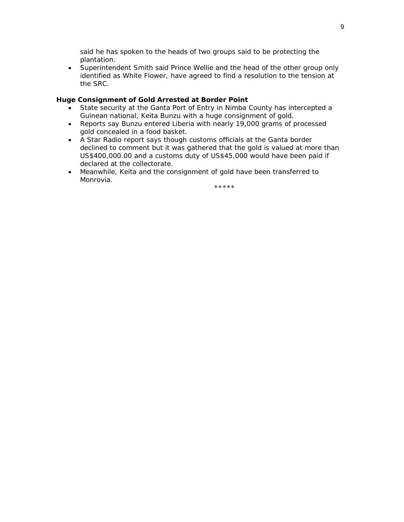said he has spoken to the heads of two groups said to be protecting the plantation.

• Superintendent Smith said Prince Wellie and the head of the other group only identified as White Flower, have agreed to find a resolution to the tension at the SRC.

#### **Huge Consignment of Gold Arrested at Border Point**

- State security at the Ganta Port of Entry in Nimba County has intercepted a Guinean national, Keita Bunzu with a huge consignment of gold.
- Reports say Bunzu entered Liberia with nearly 19,000 grams of processed gold concealed in a food basket.
- A Star Radio report says though customs officials at the Ganta border declined to comment but it was gathered that the gold is valued at more than US\$400,000.00 and a customs duty of US\$45,000 would have been paid if declared at the collectorate.
- Meanwhile, Keita and the consignment of gold have been transferred to Monrovia.

\*\*\*\*\*\*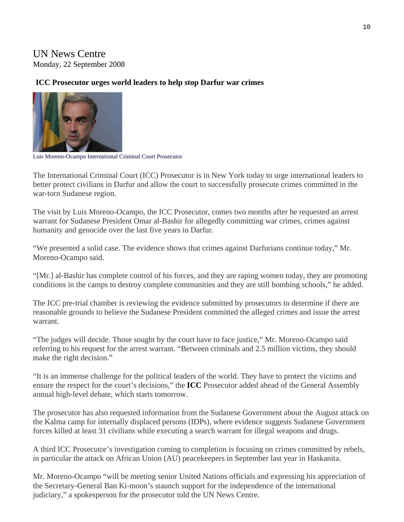## UN News Centre Monday, 22 September 2008

### **ICC Prosecutor urges world leaders to help stop Darfur war crimes**



Luis Moreno-Ocampo International Criminal Court Prosecutor

The International Criminal Court (ICC) Prosecutor is in New York today to urge international leaders to better protect civilians in Darfur and allow the court to successfully prosecute crimes committed in the war-torn Sudanese region.

The visit by Luis Moreno-Ocampo, the ICC Prosecutor, comes two months after he requested an arrest warrant for Sudanese President Omar al-Bashir for allegedly committing war crimes, crimes against humanity and genocide over the last five years in Darfur.

"We presented a solid case. The evidence shows that crimes against Darfurians continue today," Mr. Moreno-Ocampo said.

"[Mr.] al-Bashir has complete control of his forces, and they are raping women today, they are promoting conditions in the camps to destroy complete communities and they are still bombing schools," he added.

The ICC pre-trial chamber is reviewing the evidence submitted by prosecutors to determine if there are reasonable grounds to believe the Sudanese President committed the alleged crimes and issue the arrest warrant.

"The judges will decide. Those sought by the court have to face justice," Mr. Moreno-Ocampo said referring to his request for the arrest warrant. "Between criminals and 2.5 million victims, they should make the right decision."

"It is an immense challenge for the political leaders of the world. They have to protect the victims and ensure the respect for the court's decisions," the **[ICC](http://www.icc-cpi.int/press/pressreleases/424.html)** Prosecutor added ahead of the General Assembly annual high-level debate, which starts tomorrow.

The prosecutor has also requested information from the Sudanese Government about the August attack on the Kalma camp for internally displaced persons (IDPs), where evidence suggests Sudanese Government forces killed at least 31 civilians while executing a search warrant for illegal weapons and drugs.

A third ICC Prosecutor's investigation coming to completion is focusing on crimes committed by rebels, in particular the attack on African Union (AU) peacekeepers in September last year in Haskanita.

Mr. Moreno-Ocampo "will be meeting senior United Nations officials and expressing his appreciation of the Secretary-General Ban Ki-moon's staunch support for the independence of the international judiciary," a spokesperson for the prosecutor told the UN News Centre.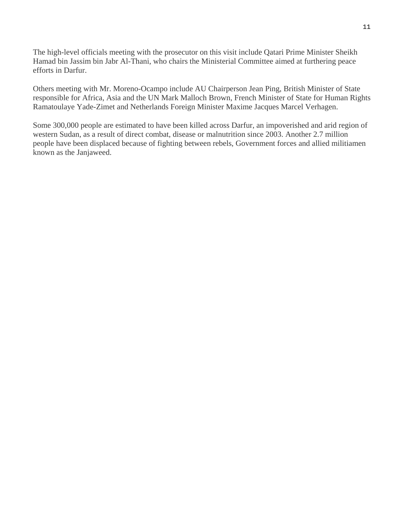The high-level officials meeting with the prosecutor on this visit include Qatari Prime Minister Sheikh Hamad bin Jassim bin Jabr Al-Thani, who chairs the Ministerial Committee aimed at furthering peace efforts in Darfur.

Others meeting with Mr. Moreno-Ocampo include AU Chairperson Jean Ping, British Minister of State responsible for Africa, Asia and the UN Mark Malloch Brown, French Minister of State for Human Rights Ramatoulaye Yade-Zimet and Netherlands Foreign Minister Maxime Jacques Marcel Verhagen.

Some 300,000 people are estimated to have been killed across Darfur, an impoverished and arid region of western Sudan, as a result of direct combat, disease or malnutrition since 2003. Another 2.7 million people have been displaced because of fighting between rebels, Government forces and allied militiamen known as the Janjaweed.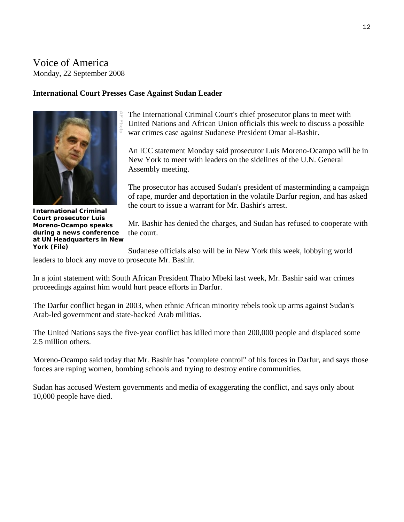## Voice of America Monday, 22 September 2008

#### **International Court Presses Case Against Sudan Leader**



**Court prosecutor Luis Moreno-Ocampo speaks during a news conference** 

The International Criminal Court's chief prosecutor plans to meet with United Nations and African Union officials this week to discuss a possible war crimes case against Sudanese President Omar al-Bashir.

An ICC statement Monday said prosecutor Luis Moreno-Ocampo will be in New York to meet with leaders on the sidelines of the U.N. General Assembly meeting.

The prosecutor has accused Sudan's president of masterminding a campaign of rape, murder and deportation in the volatile Darfur region, and has asked the court to issue a warrant for Mr. Bashir's arrest.

Mr. Bashir has denied the charges, and Sudan has refused to cooperate with the court. **at UN Headquarters in New** 

Sudanese officials also will be in New York this week, lobbying world leaders to block any move to prosecute Mr. Bashir. **York (File)** 

In a joint statement with South African President Thabo Mbeki last week, Mr. Bashir said war crimes proceedings against him would hurt peace efforts in Darfur.

The Darfur conflict began in 2003, when ethnic African minority rebels took up arms against Sudan's Arab-led government and state-backed Arab militias.

The United Nations says the five-year conflict has killed more than 200,000 people and displaced some 2.5 million others.

Moreno-Ocampo said today that Mr. Bashir has "complete control" of his forces in Darfur, and says those forces are raping women, bombing schools and trying to destroy entire communities.

Sudan has accused Western governments and media of exaggerating the conflict, and says only about 10,000 people have died.